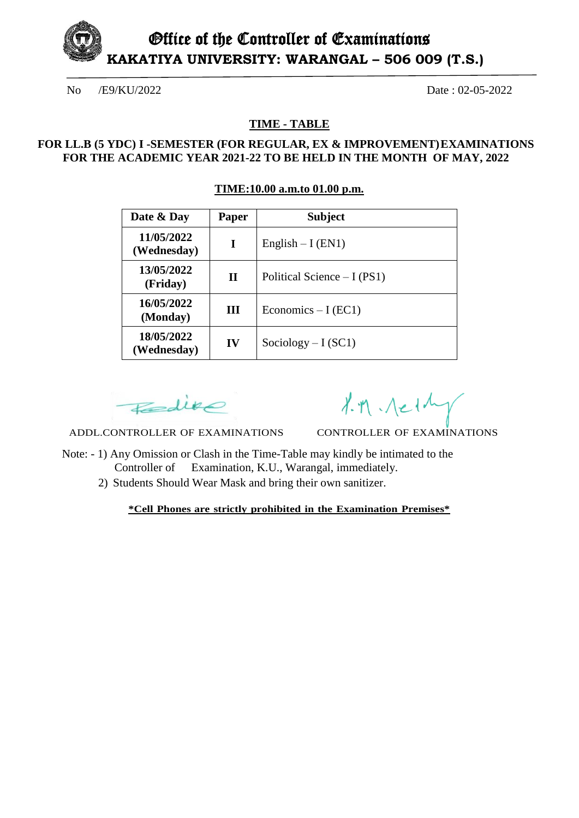

#### **TIME - TABLE**

# **FOR LL.B (5 YDC) I -SEMESTER (FOR REGULAR, EX & IMPROVEMENT) EXAMINATIONS FOR THE ACADEMIC YEAR 2021-22 TO BE HELD IN THE MONTH OF MAY, 2022**

#### **TIME:10.00 a.m.to 01.00 p.m.**

| Date & Day                | <b>Paper</b> | <b>Subject</b>               |
|---------------------------|--------------|------------------------------|
| 11/05/2022<br>(Wednesday) | I            | English $-I$ (EN1)           |
| 13/05/2022<br>(Friday)    | $\mathbf{H}$ | Political Science $-I (PS1)$ |
| 16/05/2022<br>(Monday)    | Ш            | Economics $-I$ (EC1)         |
| 18/05/2022<br>(Wednesday) | IV           | Sociology $-I (SC1)$         |

Fedire

 $1.7.$   $\Lambda$   $\sim$   $1\frac{1}{\Lambda}$ 

ADDL.CONTROLLER OF EXAMINATIONS CONTROLLER OF EXAMINATIONS

- Note: 1) Any Omission or Clash in the Time-Table may kindly be intimated to the Controller of Examination, K.U., Warangal, immediately.
	- 2) Students Should Wear Mask and bring their own sanitizer.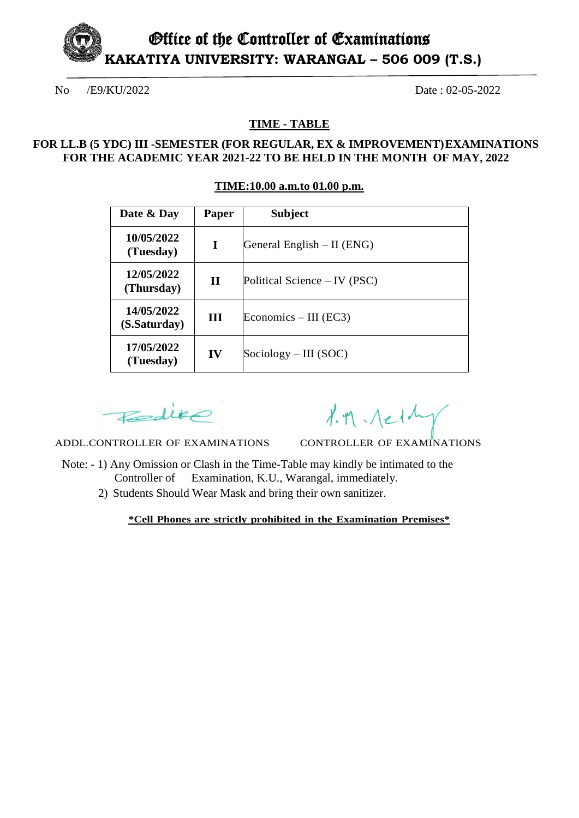Office of the Controller of Examinations **KAKATIYA UNIVERSITY: WARANGAL – 506 009 (T.S.)**

No /E9/KU/2022 Date : 02-05-2022

**TIME - TABLE**

# **FOR LL.B (5 YDC) III -SEMESTER (FOR REGULAR, EX & IMPROVEMENT) EXAMINATIONS FOR THE ACADEMIC YEAR 2021-22 TO BE HELD IN THE MONTH OF MAY, 2022**

| TIME:10.00 a.m.to 01.00 p.m. |  |
|------------------------------|--|
|                              |  |

| Date & Day                 | Paper       | <b>Subject</b>               |
|----------------------------|-------------|------------------------------|
| 10/05/2022<br>(Tuesday)    | 1           | General English $-$ II (ENG) |
| 12/05/2022<br>(Thursday)   | $\mathbf H$ | Political Science – IV (PSC) |
| 14/05/2022<br>(S.Saturday) | Ш           | Economics $-$ III (EC3)      |
| 17/05/2022<br>(Tuesday)    | IV          | $Sociology - III (SOC)$      |

Fedire

 $1.71 - 11$ 

ADDL.CONTROLLER OF EXAMINATIONS CONTROLLER OF EXAMINATIONS

- Note: 1) Any Omission or Clash in the Time-Table may kindly be intimated to the Controller of Examination, K.U., Warangal, immediately.
	- 2) Students Should Wear Mask and bring their own sanitizer.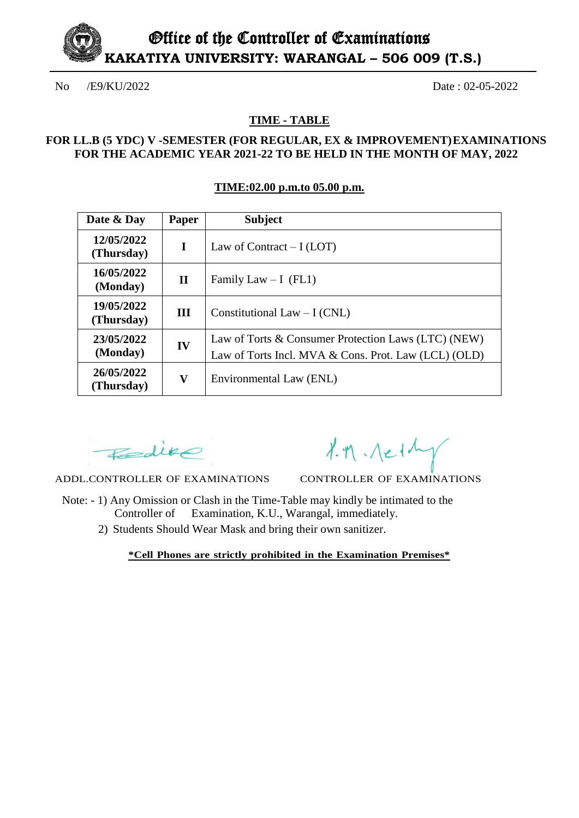

#### **TIME - TABLE**

### **FOR LL.B (5 YDC) V -SEMESTER (FOR REGULAR, EX & IMPROVEMENT) EXAMINATIONS FOR THE ACADEMIC YEAR 2021-22 TO BE HELD IN THE MONTH OF MAY, 2022**

#### **TIME:02.00 p.m.to 05.00 p.m.**

| Date & Day               | Paper       | <b>Subject</b>                                                                                              |
|--------------------------|-------------|-------------------------------------------------------------------------------------------------------------|
| 12/05/2022<br>(Thursday) | $\mathbf I$ | Law of Contract $-I (LOT)$                                                                                  |
| 16/05/2022<br>(Monday)   | $\mathbf H$ | Family Law $- I$ (FL1)                                                                                      |
| 19/05/2022<br>(Thursday) | III         | Constitutional Law $-I (CNL)$                                                                               |
| 23/05/2022<br>(Monday)   | IV          | Law of Torts & Consumer Protection Laws (LTC) (NEW)<br>Law of Torts Incl. MVA & Cons. Prot. Law (LCL) (OLD) |
| 26/05/2022<br>(Thursday) | V           | Environmental Law (ENL)                                                                                     |

 $E = div \circ$ 

 $1.7.$   $A = 1\frac{1}{1}$ 

ADDL.CONTROLLER OF EXAMINATIONS CONTROLLER OF EXAMINATIONS

- Note: 1) Any Omission or Clash in the Time-Table may kindly be intimated to the Controller of Examination, K.U., Warangal, immediately.
	- 2) Students Should Wear Mask and bring their own sanitizer.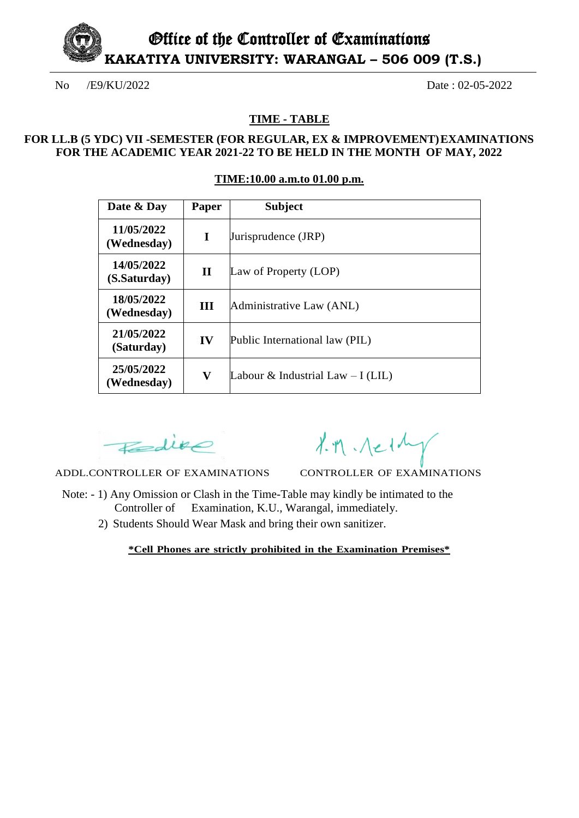

# **TIME - TABLE**

# **FOR LL.B (5 YDC) VII -SEMESTER (FOR REGULAR, EX & IMPROVEMENT) EXAMINATIONS FOR THE ACADEMIC YEAR 2021-22 TO BE HELD IN THE MONTH OF MAY, 2022**

#### **TIME:10.00 a.m.to 01.00 p.m.**

| Date & Day                 | Paper        | <b>Subject</b>                     |
|----------------------------|--------------|------------------------------------|
| 11/05/2022<br>(Wednesday)  | I            | Jurisprudence (JRP)                |
| 14/05/2022<br>(S.Saturday) | $\mathbf{I}$ | Law of Property (LOP)              |
| 18/05/2022<br>(Wednesday)  | Ш            | Administrative Law (ANL)           |
| 21/05/2022<br>(Saturday)   | IV           | Public International law (PIL)     |
| 25/05/2022<br>(Wednesday)  | $\mathbf{V}$ | Labour & Industrial Law $-I$ (LIL) |

Fedire

ADDL.CONTROLLER OF EXAMINATIONS CONTROLLER OF EXAMINATIONS

 $1.71 - 11$ 

- Note: 1) Any Omission or Clash in the Time-Table may kindly be intimated to the Controller of Examination, K.U., Warangal, immediately.
	- 2) Students Should Wear Mask and bring their own sanitizer.